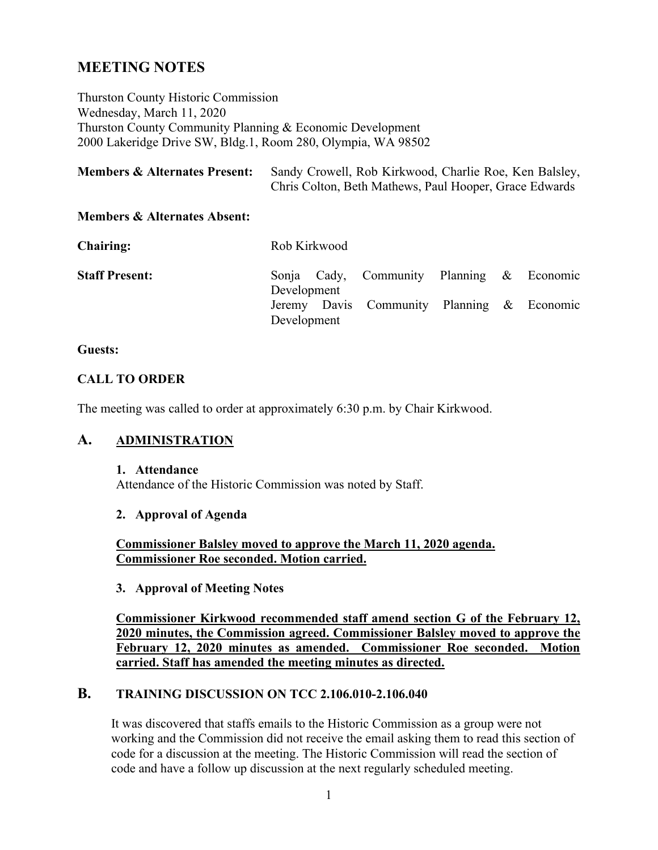# **MEETING NOTES**

Thurston County Historic Commission Wednesday, March 11, 2020 Thurston County Community Planning & Economic Development 2000 Lakeridge Drive SW, Bldg.1, Room 280, Olympia, WA 98502

| <b>Members &amp; Alternates Present:</b> | Sandy Crowell, Rob Kirkwood, Charlie Roe, Ken Balsley, |  |  |  |
|------------------------------------------|--------------------------------------------------------|--|--|--|
|                                          | Chris Colton, Beth Mathews, Paul Hooper, Grace Edwards |  |  |  |

#### **Members & Alternates Absent:**

| <b>Chairing:</b>      | Rob Kirkwood                                              |  |  |
|-----------------------|-----------------------------------------------------------|--|--|
| <b>Staff Present:</b> | Sonja Cady, Community Planning & Economic<br>Development  |  |  |
|                       | Jeremy Davis Community Planning & Economic<br>Development |  |  |

#### **Guests:**

#### **CALL TO ORDER**

The meeting was called to order at approximately 6:30 p.m. by Chair Kirkwood.

### **A. ADMINISTRATION**

#### **1. Attendance**

Attendance of the Historic Commission was noted by Staff.

#### **2. Approval of Agenda**

**Commissioner Balsley moved to approve the March 11, 2020 agenda. Commissioner Roe seconded. Motion carried.**

#### **3. Approval of Meeting Notes**

**Commissioner Kirkwood recommended staff amend section G of the February 12, 2020 minutes, the Commission agreed. Commissioner Balsley moved to approve the February 12, 2020 minutes as amended. Commissioner Roe seconded. Motion carried. Staff has amended the meeting minutes as directed.**

### **B. TRAINING DISCUSSION ON TCC 2.106.010-2.106.040**

It was discovered that staffs emails to the Historic Commission as a group were not working and the Commission did not receive the email asking them to read this section of code for a discussion at the meeting. The Historic Commission will read the section of code and have a follow up discussion at the next regularly scheduled meeting.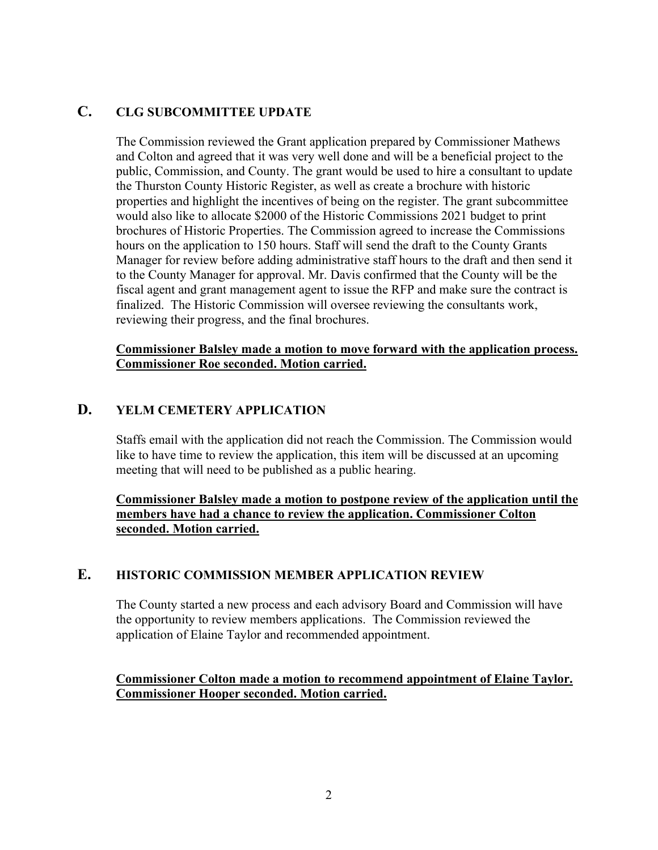## **C. CLG SUBCOMMITTEE UPDATE**

The Commission reviewed the Grant application prepared by Commissioner Mathews and Colton and agreed that it was very well done and will be a beneficial project to the public, Commission, and County. The grant would be used to hire a consultant to update the Thurston County Historic Register, as well as create a brochure with historic properties and highlight the incentives of being on the register. The grant subcommittee would also like to allocate \$2000 of the Historic Commissions 2021 budget to print brochures of Historic Properties. The Commission agreed to increase the Commissions hours on the application to 150 hours. Staff will send the draft to the County Grants Manager for review before adding administrative staff hours to the draft and then send it to the County Manager for approval. Mr. Davis confirmed that the County will be the fiscal agent and grant management agent to issue the RFP and make sure the contract is finalized. The Historic Commission will oversee reviewing the consultants work, reviewing their progress, and the final brochures.

#### **Commissioner Balsley made a motion to move forward with the application process. Commissioner Roe seconded. Motion carried.**

### **D. YELM CEMETERY APPLICATION**

Staffs email with the application did not reach the Commission. The Commission would like to have time to review the application, this item will be discussed at an upcoming meeting that will need to be published as a public hearing.

### **Commissioner Balsley made a motion to postpone review of the application until the members have had a chance to review the application. Commissioner Colton seconded. Motion carried.**

### **E. HISTORIC COMMISSION MEMBER APPLICATION REVIEW**

The County started a new process and each advisory Board and Commission will have the opportunity to review members applications. The Commission reviewed the application of Elaine Taylor and recommended appointment.

**Commissioner Colton made a motion to recommend appointment of Elaine Taylor. Commissioner Hooper seconded. Motion carried.**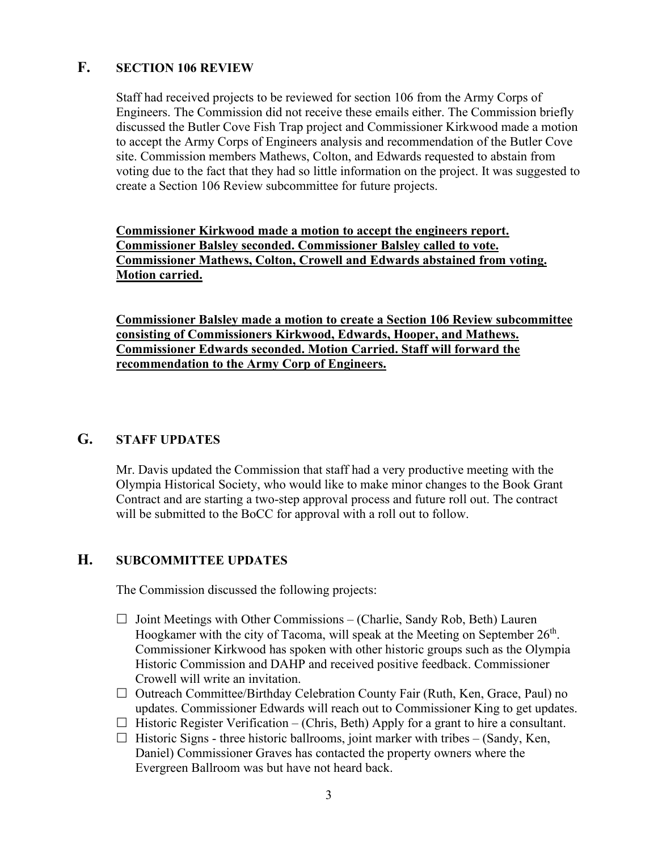## **F. SECTION 106 REVIEW**

Staff had received projects to be reviewed for section 106 from the Army Corps of Engineers. The Commission did not receive these emails either. The Commission briefly discussed the Butler Cove Fish Trap project and Commissioner Kirkwood made a motion to accept the Army Corps of Engineers analysis and recommendation of the Butler Cove site. Commission members Mathews, Colton, and Edwards requested to abstain from voting due to the fact that they had so little information on the project. It was suggested to create a Section 106 Review subcommittee for future projects.

**Commissioner Kirkwood made a motion to accept the engineers report. Commissioner Balsley seconded. Commissioner Balsley called to vote. Commissioner Mathews, Colton, Crowell and Edwards abstained from voting. Motion carried.**

**Commissioner Balsley made a motion to create a Section 106 Review subcommittee consisting of Commissioners Kirkwood, Edwards, Hooper, and Mathews. Commissioner Edwards seconded. Motion Carried. Staff will forward the recommendation to the Army Corp of Engineers.**

## **G. STAFF UPDATES**

Mr. Davis updated the Commission that staff had a very productive meeting with the Olympia Historical Society, who would like to make minor changes to the Book Grant Contract and are starting a two-step approval process and future roll out. The contract will be submitted to the BoCC for approval with a roll out to follow.

### **H. SUBCOMMITTEE UPDATES**

The Commission discussed the following projects:

- $\Box$  Joint Meetings with Other Commissions (Charlie, Sandy Rob, Beth) Lauren Hoogkamer with the city of Tacoma, will speak at the Meeting on September  $26<sup>th</sup>$ . Commissioner Kirkwood has spoken with other historic groups such as the Olympia Historic Commission and DAHP and received positive feedback. Commissioner Crowell will write an invitation.
- $\Box$  Outreach Committee/Birthday Celebration County Fair (Ruth, Ken, Grace, Paul) no updates. Commissioner Edwards will reach out to Commissioner King to get updates.
- $\Box$  Historic Register Verification (Chris, Beth) Apply for a grant to hire a consultant.
- $\Box$  Historic Signs three historic ballrooms, joint marker with tribes (Sandy, Ken, Daniel) Commissioner Graves has contacted the property owners where the Evergreen Ballroom was but have not heard back.